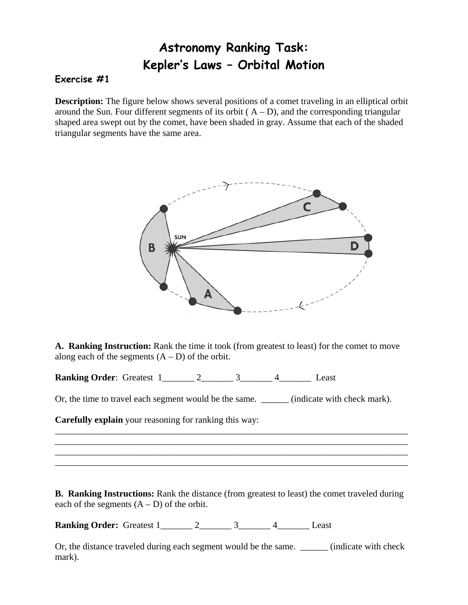## **Astronomy Ranking Task: Kepler's Laws – Orbital Motion**

## **Exercise #1**

**Description:** The figure below shows several positions of a comet traveling in an elliptical orbit around the Sun. Four different segments of its orbit  $(A - D)$ , and the corresponding triangular shaped area swept out by the comet, have been shaded in gray. Assume that each of the shaded triangular segments have the same area.



**A. Ranking Instruction:** Rank the time it took (from greatest to least) for the comet to move along each of the segments  $(A - D)$  of the orbit.

**Ranking Order:** Greatest 1\_\_\_\_\_\_\_ 2\_\_\_\_\_\_\_ 3\_\_\_\_\_\_\_ 4\_\_\_\_\_\_\_\_ Least

Or, the time to travel each segment would be the same. \_\_\_\_\_\_\_ (indicate with check mark).

\_\_\_\_\_\_\_\_\_\_\_\_\_\_\_\_\_\_\_\_\_\_\_\_\_\_\_\_\_\_\_\_\_\_\_\_\_\_\_\_\_\_\_\_\_\_\_\_\_\_\_\_\_\_\_\_\_\_\_\_\_\_\_\_\_\_\_\_\_\_\_\_\_\_\_\_\_ \_\_\_\_\_\_\_\_\_\_\_\_\_\_\_\_\_\_\_\_\_\_\_\_\_\_\_\_\_\_\_\_\_\_\_\_\_\_\_\_\_\_\_\_\_\_\_\_\_\_\_\_\_\_\_\_\_\_\_\_\_\_\_\_\_\_\_\_\_\_\_\_\_\_\_\_\_ \_\_\_\_\_\_\_\_\_\_\_\_\_\_\_\_\_\_\_\_\_\_\_\_\_\_\_\_\_\_\_\_\_\_\_\_\_\_\_\_\_\_\_\_\_\_\_\_\_\_\_\_\_\_\_\_\_\_\_\_\_\_\_\_\_\_\_\_\_\_\_\_\_\_\_\_\_ \_\_\_\_\_\_\_\_\_\_\_\_\_\_\_\_\_\_\_\_\_\_\_\_\_\_\_\_\_\_\_\_\_\_\_\_\_\_\_\_\_\_\_\_\_\_\_\_\_\_\_\_\_\_\_\_\_\_\_\_\_\_\_\_\_\_\_\_\_\_\_\_\_\_\_\_\_

**Carefully explain** your reasoning for ranking this way:

**B. Ranking Instructions:** Rank the distance (from greatest to least) the comet traveled during each of the segments  $(A - D)$  of the orbit.

**Ranking Order:** Greatest 1\_\_\_\_\_\_\_ 2\_\_\_\_\_\_\_ 3\_\_\_\_\_\_ 4\_\_\_\_\_\_\_ Least

Or, the distance traveled during each segment would be the same. (indicate with check mark).